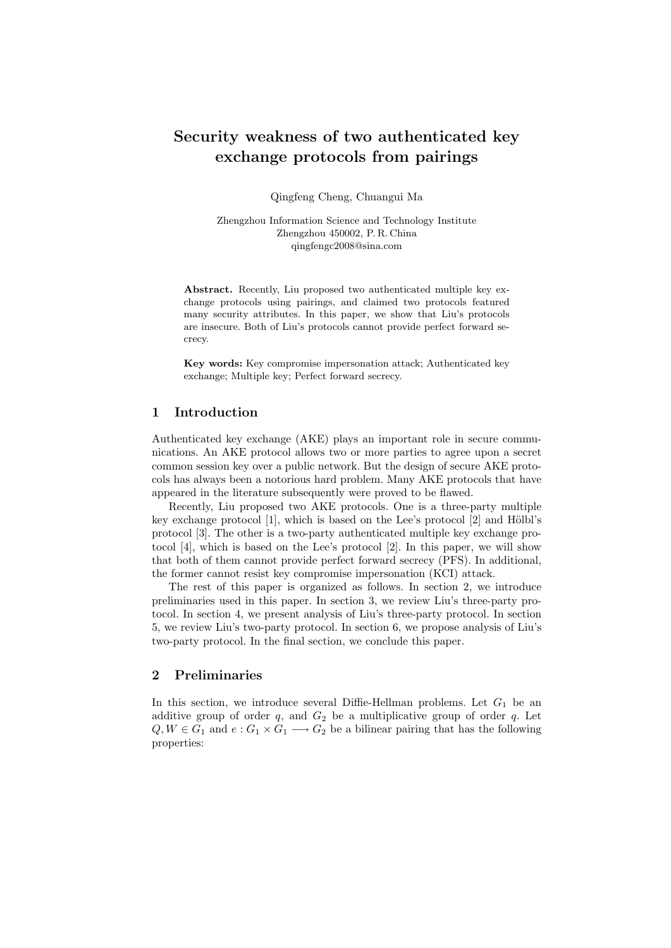# Security weakness of two authenticated key exchange protocols from pairings

Qingfeng Cheng, Chuangui Ma

Zhengzhou Information Science and Technology Institute Zhengzhou 450002, P. R. China qingfengc2008@sina.com

Abstract. Recently, Liu proposed two authenticated multiple key exchange protocols using pairings, and claimed two protocols featured many security attributes. In this paper, we show that Liu's protocols are insecure. Both of Liu's protocols cannot provide perfect forward secrecy.

Key words: Key compromise impersonation attack; Authenticated key exchange; Multiple key; Perfect forward secrecy.

# 1 Introduction

Authenticated key exchange (AKE) plays an important role in secure communications. An AKE protocol allows two or more parties to agree upon a secret common session key over a public network. But the design of secure AKE protocols has always been a notorious hard problem. Many AKE protocols that have appeared in the literature subsequently were proved to be flawed.

Recently, Liu proposed two AKE protocols. One is a three-party multiple key exchange protocol  $[1]$ , which is based on the Lee's protocol  $[2]$  and Hölbl's protocol [3]. The other is a two-party authenticated multiple key exchange protocol [4], which is based on the Lee's protocol [2]. In this paper, we will show that both of them cannot provide perfect forward secrecy (PFS). In additional, the former cannot resist key compromise impersonation (KCI) attack.

The rest of this paper is organized as follows. In section 2, we introduce preliminaries used in this paper. In section 3, we review Liu's three-party protocol. In section 4, we present analysis of Liu's three-party protocol. In section 5, we review Liu's two-party protocol. In section 6, we propose analysis of Liu's two-party protocol. In the final section, we conclude this paper.

## 2 Preliminaries

In this section, we introduce several Diffie-Hellman problems. Let  $G_1$  be an additive group of order  $q$ , and  $G_2$  be a multiplicative group of order  $q$ . Let  $Q, W \in G_1$  and  $e: G_1 \times G_1 \longrightarrow G_2$  be a bilinear pairing that has the following properties: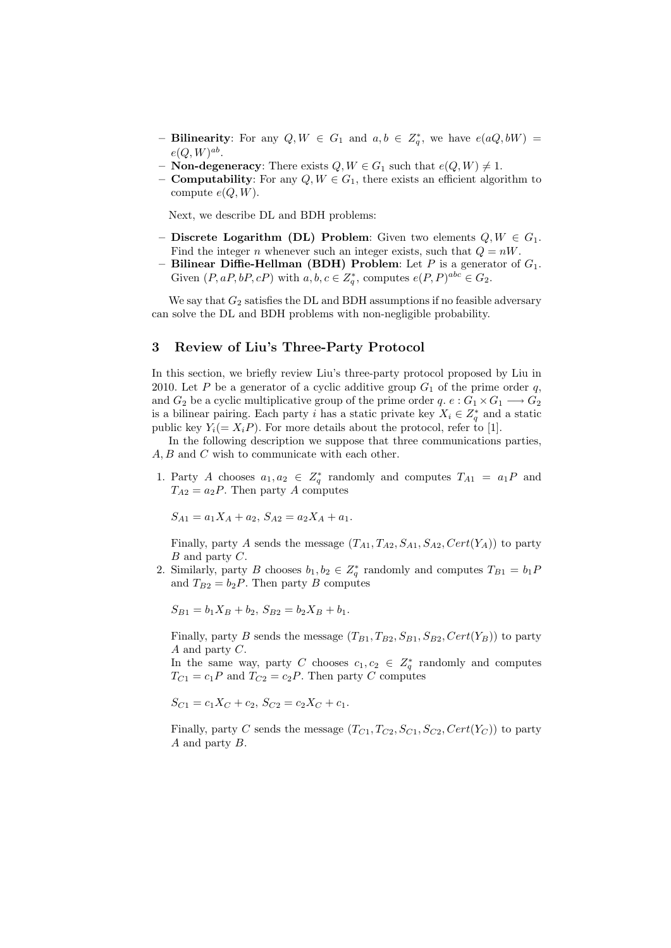- Bilinearity: For any  $Q, W \in G_1$  and  $a, b \in Z_q^*$ , we have  $e(aQ, bW)$  =  $e(Q, W)^{ab}.$
- **Non-degeneracy:** There exists  $Q, W \in G_1$  such that  $e(Q, W) \neq 1$ .
- **Computability**: For any  $Q, W \in G_1$ , there exists an efficient algorithm to compute  $e(O, W)$ .

Next, we describe DL and BDH problems:

- Discrete Logarithm (DL) Problem: Given two elements  $Q, W \in G_1$ . Find the integer n whenever such an integer exists, such that  $Q = nW$ .
- Bilinear Diffie-Hellman (BDH) Problem: Let  $P$  is a generator of  $G_1$ . Given  $(P, aP, bP, cP)$  with  $a, b, c \in \mathbb{Z}_q^*$ , computes  $e(P, P)^{abc} \in G_2$ .

We say that  $G_2$  satisfies the DL and BDH assumptions if no feasible adversary can solve the DL and BDH problems with non-negligible probability.

#### 3 Review of Liu's Three-Party Protocol

In this section, we briefly review Liu's three-party protocol proposed by Liu in 2010. Let P be a generator of a cyclic additive group  $G_1$  of the prime order q, and  $G_2$  be a cyclic multiplicative group of the prime order  $q. e : G_1 \times G_1 \longrightarrow G_2$ is a bilinear pairing. Each party i has a static private key  $X_i \in Z_q^*$  and a static public key  $Y_i(= X_i P)$ . For more details about the protocol, refer to [1].

In the following description we suppose that three communications parties, A, B and C wish to communicate with each other.

1. Party A chooses  $a_1, a_2 \in Z_q^*$  randomly and computes  $T_{A1} = a_1 P$  and  $T_{A2} = a_2 P$ . Then party A computes

$$
S_{A1} = a_1 X_A + a_2, \ S_{A2} = a_2 X_A + a_1.
$$

Finally, party A sends the message  $(T_{A1}, T_{A2}, S_{A1}, S_{A2}, Cert(Y_A))$  to party  $B$  and party  $C$ .

2. Similarly, party B chooses  $b_1, b_2 \in Z_q^*$  randomly and computes  $T_{B1} = b_1 F$ and  $T_{B2} = b_2 P$ . Then party B computes

$$
S_{B1} = b_1 X_B + b_2, S_{B2} = b_2 X_B + b_1.
$$

Finally, party B sends the message  $(T_{B1}, T_{B2}, S_{B1}, S_{B2}, Cert(Y_B))$  to party A and party C.

In the same way, party C chooses  $c_1, c_2 \in Z_q^*$  randomly and computes  $T_{C1} = c_1 P$  and  $T_{C2} = c_2 P$ . Then party C computes

$$
S_{C1} = c_1 X_C + c_2, S_{C2} = c_2 X_C + c_1.
$$

Finally, party C sends the message  $(T_{C1}, T_{C2}, S_{C1}, S_{C2}, Cert(Y_C))$  to party A and party B.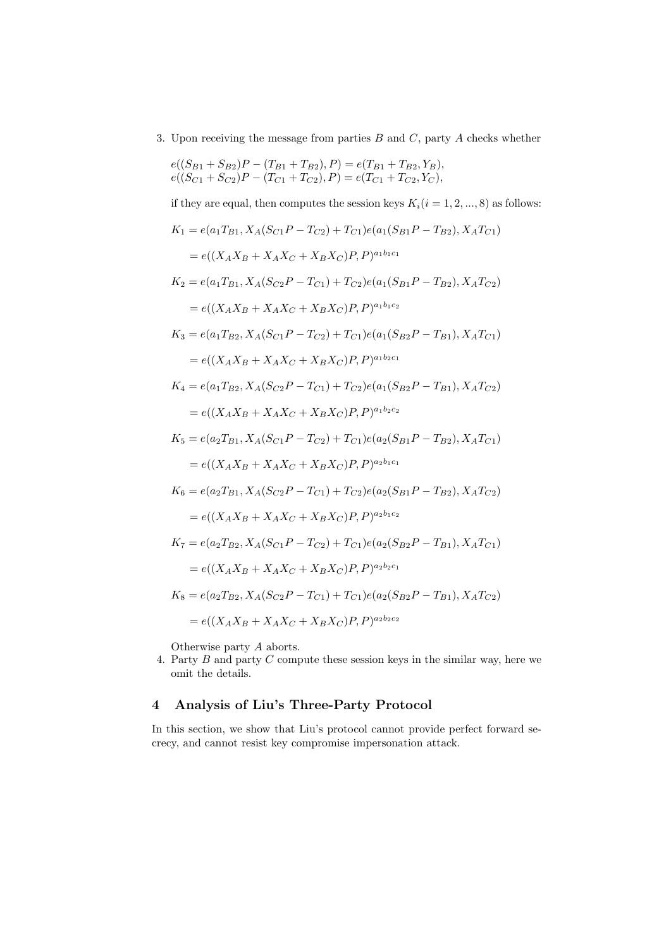3. Upon receiving the message from parties  $B$  and  $C$ , party  $A$  checks whether

$$
e((S_{B1} + S_{B2})P - (T_{B1} + T_{B2}), P) = e(T_{B1} + T_{B2}, Y_B),
$$
  

$$
e((S_{C1} + S_{C2})P - (T_{C1} + T_{C2}), P) = e(T_{C1} + T_{C2}, Y_C),
$$

if they are equal, then computes the session keys  $K_i(i = 1, 2, ..., 8)$  as follows:

$$
K_{1} = e(a_{1}T_{B1}, X_{A}(S_{C1}P - T_{C2}) + T_{C1})e(a_{1}(S_{B1}P - T_{B2}), X_{A}T_{C1})
$$
  
\n
$$
= e((X_{A}X_{B} + X_{A}X_{C} + X_{B}X_{C})P, P)^{a_{1}b_{1}c_{1}}
$$
  
\n
$$
K_{2} = e(a_{1}T_{B1}, X_{A}(S_{C2}P - T_{C1}) + T_{C2})e(a_{1}(S_{B1}P - T_{B2}), X_{A}T_{C2})
$$
  
\n
$$
= e((X_{A}X_{B} + X_{A}X_{C} + X_{B}X_{C})P, P)^{a_{1}b_{1}c_{2}}
$$
  
\n
$$
K_{3} = e(a_{1}T_{B2}, X_{A}(S_{C1}P - T_{C2}) + T_{C1})e(a_{1}(S_{B2}P - T_{B1}), X_{A}T_{C1})
$$
  
\n
$$
= e((X_{A}X_{B} + X_{A}X_{C} + X_{B}X_{C})P, P)^{a_{1}b_{2}c_{1}}
$$
  
\n
$$
K_{4} = e(a_{1}T_{B2}, X_{A}(S_{C2}P - T_{C1}) + T_{C2})e(a_{1}(S_{B2}P - T_{B1}), X_{A}T_{C2})
$$
  
\n
$$
= e((X_{A}X_{B} + X_{A}X_{C} + X_{B}X_{C})P, P)^{a_{1}b_{2}c_{2}}
$$
  
\n
$$
K_{5} = e(a_{2}T_{B1}, X_{A}(S_{C1}P - T_{C2}) + T_{C1})e(a_{2}(S_{B1}P - T_{B2}), X_{A}T_{C1})
$$
  
\n
$$
= e((X_{A}X_{B} + X_{A}X_{C} + X_{B}X_{C})P, P)^{a_{2}b_{1}c_{1}}
$$
  
\n
$$
K_{6} = e(a_{2}T_{B1}, X_{A}(S_{C2}P - T_{C1}) + T_{C2})e(a_{2}(S_{B1}P - T_{B2}), X_{A}T_{C2})
$$
  
\n
$$
= e((X_{A}X_{B} + X_{A}X_{C} + X_{B
$$

Otherwise party A aborts.

4. Party  $B$  and party  $C$  compute these session keys in the similar way, here we omit the details.

# 4 Analysis of Liu's Three-Party Protocol

In this section, we show that Liu's protocol cannot provide perfect forward secrecy, and cannot resist key compromise impersonation attack.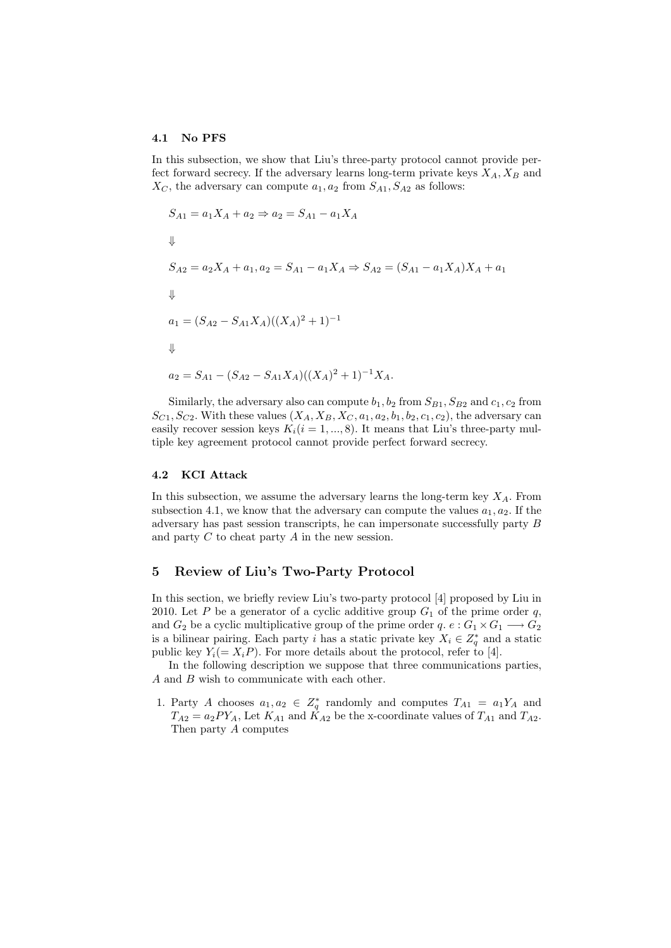#### 4.1 No PFS

In this subsection, we show that Liu's three-party protocol cannot provide perfect forward secrecy. If the adversary learns long-term private keys  $X_A, X_B$  and  $X_C$ , the adversary can compute  $a_1, a_2$  from  $S_{A1}, S_{A2}$  as follows:

$$
S_{A1} = a_1 X_A + a_2 \Rightarrow a_2 = S_{A1} - a_1 X_A
$$
  
\n
$$
\Downarrow
$$
  
\n
$$
S_{A2} = a_2 X_A + a_1, a_2 = S_{A1} - a_1 X_A \Rightarrow S_{A2} = (S_{A1} - a_1 X_A) X_A + a_1
$$
  
\n
$$
\Downarrow
$$
  
\n
$$
a_1 = (S_{A2} - S_{A1} X_A)((X_A)^2 + 1)^{-1}
$$
  
\n
$$
\Downarrow
$$
  
\n
$$
a_2 = S_{A1} - (S_{A2} - S_{A1} X_A)((X_A)^2 + 1)^{-1} X_A.
$$

Similarly, the adversary also can compute  $b_1$ ,  $b_2$  from  $S_{B1}$ ,  $S_{B2}$  and  $c_1$ ,  $c_2$  from  $S_{C1}$ ,  $S_{C2}$ . With these values  $(X_A, X_B, X_C, a_1, a_2, b_1, b_2, c_1, c_2)$ , the adversary can easily recover session keys  $K_i(i = 1, ..., 8)$ . It means that Liu's three-party multiple key agreement protocol cannot provide perfect forward secrecy.

#### 4.2 KCI Attack

In this subsection, we assume the adversary learns the long-term key  $X_A$ . From subsection 4.1, we know that the adversary can compute the values  $a_1, a_2$ . If the adversary has past session transcripts, he can impersonate successfully party B and party  $C$  to cheat party  $A$  in the new session.

#### 5 Review of Liu's Two-Party Protocol

In this section, we briefly review Liu's two-party protocol [4] proposed by Liu in 2010. Let P be a generator of a cyclic additive group  $G_1$  of the prime order q, and  $G_2$  be a cyclic multiplicative group of the prime order  $q. e : G_1 \times G_1 \longrightarrow G_2$ is a bilinear pairing. Each party i has a static private key  $X_i \in Z_q^*$  and a static public key  $Y_i(= X_i P)$ . For more details about the protocol, refer to [4].

In the following description we suppose that three communications parties, A and B wish to communicate with each other.

1. Party A chooses  $a_1, a_2 \in Z_q^*$  randomly and computes  $T_{A1} = a_1 Y_A$  and  $T_{A2} = a_2 PY_A$ , Let  $K_{A1}$  and  $K_{A2}$  be the x-coordinate values of  $T_{A1}$  and  $T_{A2}$ . Then party A computes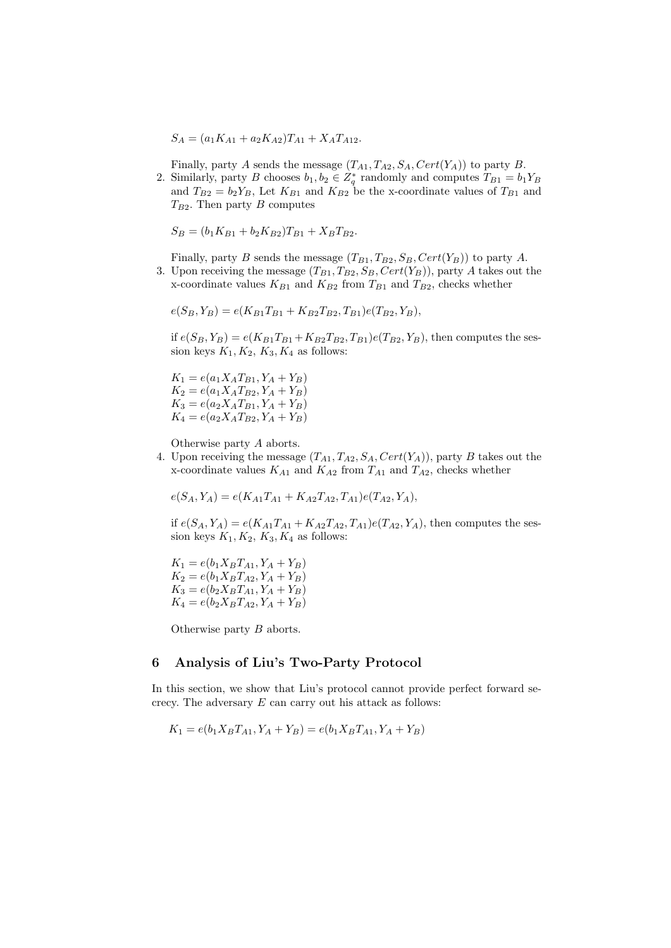$S_A = (a_1K_{A1} + a_2K_{A2})T_{A1} + X_A T_{A12}.$ 

Finally, party A sends the message  $(T_{A1}, T_{A2}, S_A, Cert(Y_A))$  to party B.

2. Similarly, party B chooses  $b_1, b_2 \in Z_q^*$  randomly and computes  $T_{B1} = b_1 Y_B$ and  $T_{B2} = b_2 Y_B$ , Let  $K_{B1}$  and  $K_{B2}$  be the x-coordinate values of  $T_{B1}$  and  $T_{B2}$ . Then party B computes

 $S_B = (b_1K_{B1} + b_2K_{B2})T_{B1} + X_BT_{B2}.$ 

Finally, party B sends the message  $(T_{B1}, T_{B2}, S_B, Cert(Y_B))$  to party A. 3. Upon receiving the message  $(T_{B1}, T_{B2}, S_B, Cert(Y_B))$ , party A takes out the

x-coordinate values  $K_{B1}$  and  $K_{B2}$  from  $T_{B1}$  and  $T_{B2}$ , checks whether

 $e(S_B, Y_B) = e(K_{B1}T_{B1} + K_{B2}T_{B2}, T_{B1})e(T_{B2}, Y_B),$ 

if  $e(S_B, Y_B) = e(K_{B1}T_{B1} + K_{B2}T_{B2}, T_{B1})e(T_{B2}, Y_B)$ , then computes the session keys  $K_1, K_2, K_3, K_4$  as follows:

 $K_1 = e(a_1 X_A T_{B1}, Y_A + Y_B)$  $K_2 = e(a_1X_A T_{B2}, Y_A + Y_B)$  $K_3 = e(a_2X_A T_{B1}, Y_A + Y_B)$  $K_4 = e(a_2X_A T_{B2}, Y_A + Y_B)$ 

Otherwise party A aborts.

4. Upon receiving the message  $(T_{A1}, T_{A2}, S_A, Cert(Y_A))$ , party B takes out the x-coordinate values  $K_{A1}$  and  $K_{A2}$  from  $T_{A1}$  and  $T_{A2}$ , checks whether

 $e(S_A, Y_A) = e(K_{A1}T_{A1} + K_{A2}T_{A2}, T_{A1})e(T_{A2}, Y_A),$ 

if  $e(S_A, Y_A) = e(K_{A1}T_{A1} + K_{A2}T_{A2}, T_{A1})e(T_{A2}, Y_A)$ , then computes the session keys  $K_1, K_2, K_3, K_4$  as follows:

 $K_1 = e(b_1 X_B T_{A1}, Y_A + Y_B)$  $K_2 = e(b_1 X_B T_{A2}, Y_A + Y_B)$  $K_3 = e(b_2X_BT_{A1}, Y_A + Y_B)$  $K_4 = e(b_2X_BT_{A2}, Y_A + Y_B)$ 

Otherwise party B aborts.

#### 6 Analysis of Liu's Two-Party Protocol

In this section, we show that Liu's protocol cannot provide perfect forward secrecy. The adversary  $E$  can carry out his attack as follows:

$$
K_1 = e(b_1 X_B T_{A1}, Y_A + Y_B) = e(b_1 X_B T_{A1}, Y_A + Y_B)
$$